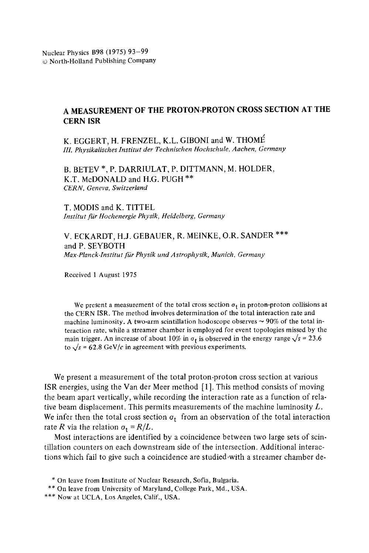## **A MEASUREMENT OF THE PROTON-PROTON CROSS SECTION AT THE CERN ISR**

K. EGGERT, H. FRENZEL, K.L. GIBONI and W. THOMÉ *III. Physikalisches Institut der Technischen Hoehschule, Aachen, Germany* 

B. BETEV \*, P. DARRIULAT, P. DITTMANN, M. HOLDER, K.T. McDONALD and H.G. PUGH \*\* *CERN, Geneva, Switzerland* 

T. MODIS and K. TITTEL *Institut flit Hochenergie Physik, Heidelberg, Germany* 

V. ECKARDT, H.J. GEBAUER, R. MEINKE, O.R. SANDER \*\*\* and P. SEYBOTH *Max-Planck-Institut fiir Physik und Astrophysik, Munich, Germany* 

Received 1 August 1975

We present a measurement of the total cross section  $\sigma_t$  in proton-proton collisions at the CERN ISR. The method involves determination of the total interaction rate and machine luminosity. A two-arm scintillation hodoscope observes  $\sim$  90% of the total interaction rate, while a streamer chamber is employed for event topologies missed by the main trigger. An increase of about 10% in  $\sigma_t$  is observed in the energy range  $\sqrt{s} = 23.6$ to  $\sqrt{s}$  = 62.8 GeV/c in agreement with previous experiments.

We present a measurement of the total proton-proton cross section at various ISR energies, using the Van der Meer method [ 1]. This method consists of moving the beam apart vertically, while recording the interaction rate as a function of relative beam displacement. This permits measurements of the machine luminosity  $L$ . We infer then the total cross section  $\sigma_t$  from an observation of the total interaction rate *R* via the relation  $\sigma_t = R/L$ .

Most interactions are identified by a coincidence between two large sets of scintillation counters on each downstream side of the intersection. Additional interactions which fail to give such a coincidence are studied,with a streamer chamber de-

<sup>\*</sup> On leave from Institute of Nuclear Research, Sofia, Bulgaria.

<sup>\*\*</sup> On leave from University of Maryland, College Park, Md., USA.

<sup>\*\*\*</sup> Now at UCLA, Los Angeles, Calif., USA.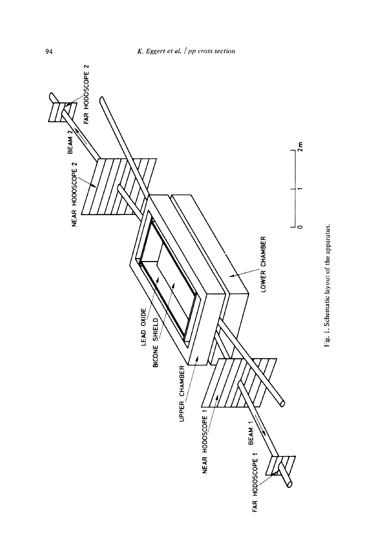

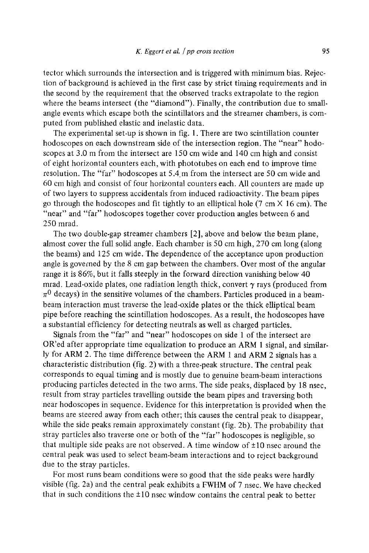tector which surrounds the intersection and is triggered with minimum bias. Rejection of background is achieved in the first case by strict timing requirements and in the second by the requirement that the observed tracks extrapolate to the region where the beams intersect (the "diamond"). Finally, the contribution due to smallangle events which escape both the scintillators and the streamer chambers, is computed from published elastic and inelastic data.

The experimental set-up is shown in fig. 1. There are two scintillation counter hodoscopes on each downstream side of the intersection region. The "near" hodoscopes at 3.0 m from the intersect are 150 cm wide and 140 cm high and consist of eight horizontal counters each, with phototubes on each end to improve time resolution. The "far" hodoscopes at 5.4 m from the intersect are 50 cm wide and 60 cm high and consist of four horizontal counters each. All counters are made up of two layers to suppress accidentals from induced radioactivity. The beam pipes go through the hodoscopes and fit tightly to an elliptical hole  $(7 \text{ cm} \times 16 \text{ cm})$ . The "near" and "far" hodoscopes together cover production angles between 6 and 250 mrad.

The two double-gap streamer chambers [2], above and below the beam plane, almost cover the full solid angle. Each chamber is 50 cm high, 270 cm long (along the beams) and 125 cm wide. The dependence of the acceptance upon production angle is governed by the 8 cm gap between the chambers. Over most of the angular range it is 86%, but it falls steeply in the forward direction vanishing below 40 mrad. Lead-oxide plates, one radiation length thick, convert  $\gamma$  rays (produced from  $\pi^0$  decays) in the sensitive volumes of the chambers. Particles produced in a beambeam interaction must traverse the lead-oxide plates or the thick elliptical beam pipe before reaching the scintillation hodoscopes. As a result, the hodoscopes have a substantial efficiency for detecting neutrals as well as charged particles.

Signals from the "far" and "near" hodoscopes on side 1 of the intersect are OR'ed after appropriate time equalization to produce an ARM 1 signal, and similarly for ARM 2. The time difference between the ARM 1 and ARM 2 signals has a characteristic distribution (fig. 2) with a three-peak structure. The central peak corresponds to equal timing and is mostly due to genuine beam-beam interactions producing particles detected in the two arms. The side peaks, displaced by 18 nsec, result from stray particles travelling outside the beam pipes and traversing both near hodoscopes in sequence. Evidence for this interpretation is provided when the beams are steered away from each other; this causes the central peak to disappear, while the side peaks remain approximately constant (fig. 2b). The probability that stray particles also traverse one or both of the "far" hodoscopes is negligible, so that multiple side peaks are not observed. A time window of  $\pm 10$  nsec around the central peak was used to select beam-beam interactions and to reject background due to the stray particles.

For most runs beam conditions were so good that the side peaks were hardly visible (fig. 2a) and the central peak exhibits a FWHM of 7 nsec. We have checked that in such conditions the  $\pm 10$  nsec window contains the central peak to better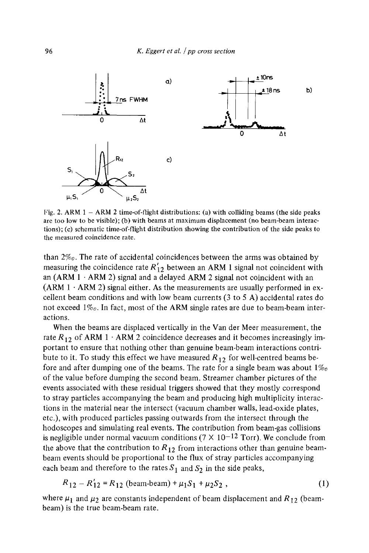

Fig. 2. ARM  $1 - ARM$  2 time-of-flight distributions: (a) with colliding beams (the side peaks are too low to be visible); (b) with beams at maximum displacement (no beam-beam interactions); (c) schematic time-of-flight distribution showing the contribution of the side peaks to the measured coincidence rate.

than 2%o. The rate of accidental coincidences between the arms was obtained by measuring the coincidence rate  $R'_{12}$  between an ARM 1 signal not coincident with an  $(ARM 1 \cdot ARM 2)$  signal and a delayed ARM 2 signal not coincident with an (ARM  $1 \cdot$  ARM 2) signal either. As the measurements are usually performed in excellent beam conditions and with low beam currents (3 to 5 A) accidental rates do not exceed  $1\%$ . In fact, most of the ARM single rates are due to beam-beam interactions.

When the beams are displaced vertically in the Van der Meer measurement, the rate  $R_{12}$  of ARM 1  $\cdot$  ARM 2 coincidence decreases and it becomes increasingly important to ensure that nothing other than genuine beam-beam interactions contribute to it. To study this effect we have measured  $R_{12}$  for well-centred beams before and after dumping one of the beams. The rate for a single beam was about  $1\%$ of the value before dumping the second beam. Streamer chamber pictures of the events associated with these residual triggers showed that they mostly correspond to stray particles accompanying the beam and producing high multiplicity interactions in the material near the intersect (vacuum chamber walls, lead-oxide plates, etc.), with produced particles passing outwards from the intersect through the hodoscopes and simulating real events. The contribution from beam-gas collisions is negligible under normal vacuum conditions ( $7 \times 10^{-12}$  Torr). We conclude from the above that the contribution to  $R_{12}$  from interactions other than genuine beambeam events should be proportional to the flux of stray particles accompanying each beam and therefore to the rates  $S_1$  and  $S_2$  in the side peaks,

$$
R_{12} - R'_{12} = R_{12} \text{ (beam-beam)} + \mu_1 S_1 + \mu_2 S_2 , \qquad (1)
$$

where  $\mu_1$  and  $\mu_2$  are constants independent of beam displacement and  $R_{12}$  (beambeam) is the true beam-beam rate.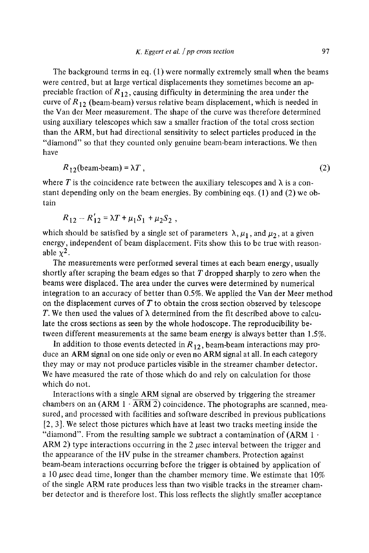The background terms in eq. (1) were normally extremely small when the beams were centred, but at large vertical displacements they sometimes become an appreciable fraction of  $R_{12}$ , causing difficulty in determining the area under the curve of  $R_{12}$  (beam-beam) versus relative beam displacement, which is needed in the Van der Meer measurement. The shape of the curve was therefore determined using auxiliary telescopes which saw a smaller fraction of the total cross section than the ARM, but had directional sensitivity to select particles produced in the "diamond" so that they counted only genuine beam-beam interactions. We then have

$$
R_{12}(\text{beam-beam}) = \lambda T, \qquad (2)
$$

where  $T$  is the coincidence rate between the auxiliary telescopes and  $\lambda$  is a constant depending only on the beam energies. By combining eqs. (1) and (2) we obtain

$$
R_{12} - R'_{12} = \lambda T + \mu_1 S_1 + \mu_2 S_2,
$$

which should be satisfied by a single set of parameters  $\lambda, \mu_1$ , and  $\mu_2$ , at a given energy, independent of beam displacement. Fits show this to be true with reasonable  $x^2$ .

The measurements were performed several times at each beam energy, usually shortly after scraping the beam edges so that  $T$  dropped sharply to zero when the beams were displaced. The area under the curves were determined by numerical integration to an accuracy of better than 0.5%. We applied the Van der Meer method on the displacement curves of  $T$  to obtain the cross section observed by telescope T. We then used the values of  $\lambda$  determined from the fit described above to calculate the cross sections as seen by the whole hodoscope. The reproducibility between different measurements at the same beam energy is always better than 1.5%.

In addition to those events detected in  $R_{12}$ , beam-beam interactions may produce an ARM signal on one side only or even no ARM signal at all. In each category they may or may not produce particles visible in the streamer chamber detector. We have measured the rate of those which do and rely on calculation for those which do not.

Interactions with a single ARM signal are observed by triggering the streamer chambers on an  $(ARM 1 \cdot ARM 2)$  coincidence. The photographs are scanned, measured, and processed with facilities and software described in previous publications [2, 3]. We select those pictures which have at least two tracks meeting inside the "diamond". From the resulting sample we subtract a contamination of  $(ARM 1 \cdot$ ARM 2) type interactions occurring in the 2  $\mu$ sec interval between the trigger and the appearance of the HV pulse in the streamer chambers. Protection against beam-beam interactions occurring before the trigger is obtained by application of a 10  $\mu$ sec dead time, longer than the chamber memory time. We estimate that 10% of the single ARM rate produces less than two visible tracks in the streamer chamber detector and is therefore lost. This loss reflects the slightly smaller acceptance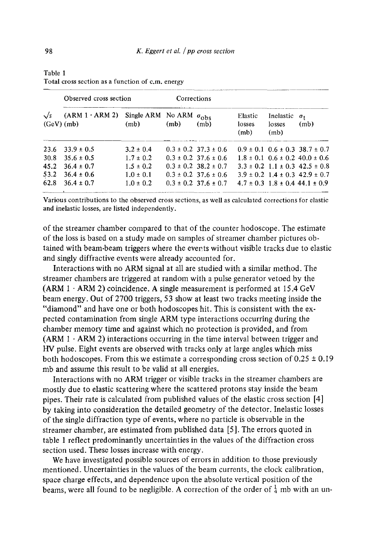| $\sqrt{s}$<br>(GeV)(mb) | Observed cross section |                                              | Corrections |                              |                           |                                          |                                            |
|-------------------------|------------------------|----------------------------------------------|-------------|------------------------------|---------------------------|------------------------------------------|--------------------------------------------|
|                         | $(ARM 1 \cdot ARM 2)$  | Single ARM No ARM $\sigma_{\rm obs}$<br>(mb) | (mb)        | (mb)                         | Elastic<br>losses<br>(mb) | Inelastic<br>losses<br>(m <sub>b</sub> ) | $\sigma_{\pm}$<br>(m <sub>b</sub> )        |
| 23.6                    | $33.9 \pm 0.5$         | $3.2 \pm 0.4$                                |             | $0.3 \pm 0.2$ 37.3 $\pm$ 0.6 |                           |                                          | $0.9 \pm 0.1$ $0.6 \pm 0.3$ $38.7 \pm 0.7$ |
| 30.8                    | $35.6 \pm 0.5$         | $1.7 \pm 0.2$                                |             | $0.3 \pm 0.2$ 37.6 $\pm$ 0.6 |                           |                                          | $1.8 \pm 0.1$ $0.6 \pm 0.2$ $40.0 \pm 0.6$ |
| 45.2                    | $36.4 \pm 0.7$         | $1.5 \pm 0.2$                                |             | $0.3 \pm 0.2$ 38.2 $\pm$ 0.7 |                           |                                          | $3.3 \pm 0.2$ 1.1 $\pm$ 0.3 42.5 $\pm$ 0.8 |
| 53.2                    | $36.4 \pm 0.6$         | $1.0 \pm 0.1$                                |             | $0.3 \pm 0.2$ 37.6 $\pm$ 0.6 |                           |                                          | $3.9 \pm 0.2$ 1.4 $\pm$ 0.3 42.9 $\pm$ 0.7 |
| 62.8                    | $36.4 \pm 0.7$         | $1.0 \pm 0.2$                                |             | $0.3 \pm 0.2$ 37.6 $\pm$ 0.7 |                           |                                          | $4.7 \pm 0.3$ 1.8 $\pm$ 0.4 44.1 $\pm$ 0.9 |

Table 1 Total cross section as a function of c.m. energy

Various contributions to the observed cross sections, as well as calculated corrections for elastic and inelastic losses, are listed independently.

of the streamer chamber compared to that of the counter hodoscope. The estimate of the loss is based on a study made on samples of streamer chamber pictures obtained with beam-beam triggers where the events without visible tracks due to elastic and singly diffractive events were already accounted for.

Interactions with no ARM signal at all are studied with a similar method. The streamer chambers are triggered at random with a pulse generator vetoed by the  $(ARM 1 \cdot ARM 2)$  coincidence. A single measurement is performed at 15.4 GeV beam energy. Out of 2700 triggers, 53 show at least two tracks meeting inside the "diamond" and have one or both hodoscopes hit. This is consistent with the expected contamination from single ARM type interactions occurring during the chamber memory time and against which no protection is provided, and from  $(ARM 1 \cdot ARM 2)$  interactions occurring in the time interval between trigger and HV pulse. Eight events are observed with tracks only at large angles which miss both hodoscopes. From this we estimate a corresponding cross section of  $0.25 \pm 0.19$ mb and assume this result to be valid at all energies.

Interactions with no ARM trigger or visible tracks in the streamer chambers are mostly due to elastic scattering where the scattered protons stay inside the beam pipes. Their rate is calculated from published values of the elastic cross section [4] by taking into consideration the detailed geometry of the detector. Inelastic losses of the single diffraction type of events, where no particle is observable in the streamer chamber, are estimated from published data [5]. The errors quoted in table 1 reflect predominantly uncertainties in the values of the diffraction cross section used. These losses increase with energy.

We have investigated possible sources of errors in addition to those previously mentioned. Uncertainties in the values of the beam currents, the clock calibration, space charge effects, and dependence upon the absolute vertical position of the beams, were all found to be negligible. A correction of the order of  $\frac{1}{4}$  mb with an un-